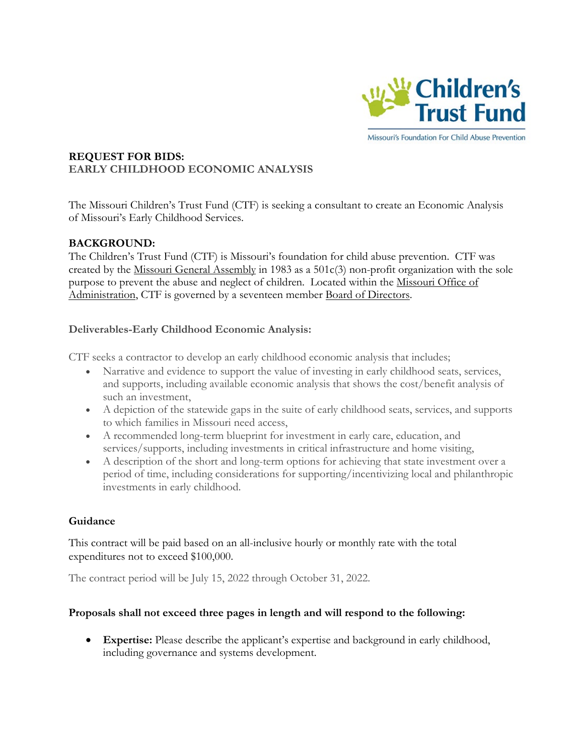

## **REQUEST FOR BIDS: EARLY CHILDHOOD ECONOMIC ANALYSIS**

The Missouri Children's Trust Fund (CTF) is seeking a consultant to create an Economic Analysis of Missouri's Early Childhood Services.

# **BACKGROUND:**

The Children's Trust Fund (CTF) is Missouri's foundation for child abuse prevention. CTF was created by the [Missouri General Assembly](http://www.moga.mo.gov/) in 1983 as a 501c(3) non-profit organization with the sole purpose to prevent the abuse and neglect of children. Located within the Missouri Office of [Administration,](http://www.oa.mo.gov/) CTF is governed by a seventeen member [Board of Directors.](http://ctf4kids.org/about-childrens-trust-fun/board-of-directors/)

# **Deliverables-Early Childhood Economic Analysis:**

CTF seeks a contractor to develop an early childhood economic analysis that includes;

- Narrative and evidence to support the value of investing in early childhood seats, services, and supports, including available economic analysis that shows the cost/benefit analysis of such an investment,
- A depiction of the statewide gaps in the suite of early childhood seats, services, and supports to which families in Missouri need access,
- A recommended long-term blueprint for investment in early care, education, and services/supports, including investments in critical infrastructure and home visiting,
- A description of the short and long-term options for achieving that state investment over a period of time, including considerations for supporting/incentivizing local and philanthropic investments in early childhood.

# **Guidance**

This contract will be paid based on an all-inclusive hourly or monthly rate with the total expenditures not to exceed \$100,000.

The contract period will be July 15, 2022 through October 31, 2022.

# **Proposals shall not exceed three pages in length and will respond to the following:**

• **Expertise:** Please describe the applicant's expertise and background in early childhood, including governance and systems development.